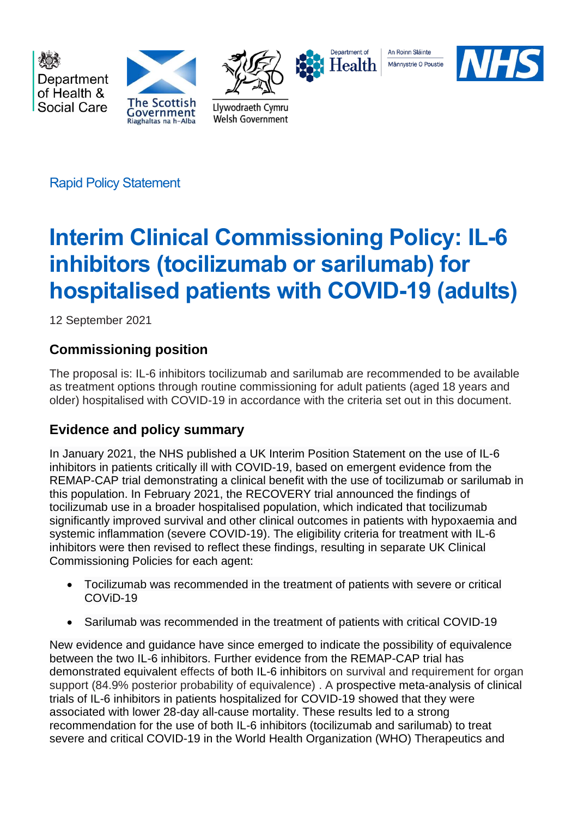

Rapid Policy Statement

# **Interim Clinical Commissioning Policy: IL-6 inhibitors (tocilizumab or sarilumab) for hospitalised patients with COVID-19 (adults)**

12 September 2021

# **Commissioning position**

The proposal is: IL-6 inhibitors tocilizumab and sarilumab are recommended to be available as treatment options through routine commissioning for adult patients (aged 18 years and older) hospitalised with COVID-19 in accordance with the criteria set out in this document.

# **Evidence and policy summary**

In January 2021, the NHS published a UK Interim Position Statement on the use of IL-6 inhibitors in patients critically ill with COVID-19, based on emergent evidence from the REMAP-CAP trial demonstrating a clinical benefit with the use of tocilizumab or sarilumab in this population. In February 2021, the RECOVERY trial announced the [findings](https://www.medrxiv.org/content/10.1101/2021.02.11.21249258v1) of tocilizumab use in a broader hospitalised population, which indicated that tocilizumab significantly improved survival and other clinical outcomes in patients with hypoxaemia and systemic inflammation (severe COVID-19). The eligibility criteria for treatment with IL-6 inhibitors were then revised to reflect these findings, resulting in separate UK Clinical Commissioning Policies for each agent:

- Tocilizumab was recommended in the treatment of patients with severe or critical COViD-19
- Sarilumab was recommended in the treatment of patients with critical COVID-19

New evidence and guidance have since emerged to indicate the possibility of equivalence between the two IL-6 inhibitors. Further evidence from the REMAP-CAP trial has demonstrated equivalent effects of both IL-6 inhibitors on survival and requirement for organ support (84.9% posterior probability of equivalence) . A prospective meta-analysis of clinical trials of IL-6 inhibitors in patients hospitalized for COVID-19 showed that they were associated with lower 28-day all-cause mortality. These results led to a strong recommendation for the use of both IL-6 inhibitors (tocilizumab and sarilumab) to treat severe and critical COVID-19 in the World Health Organization (WHO) Therapeutics and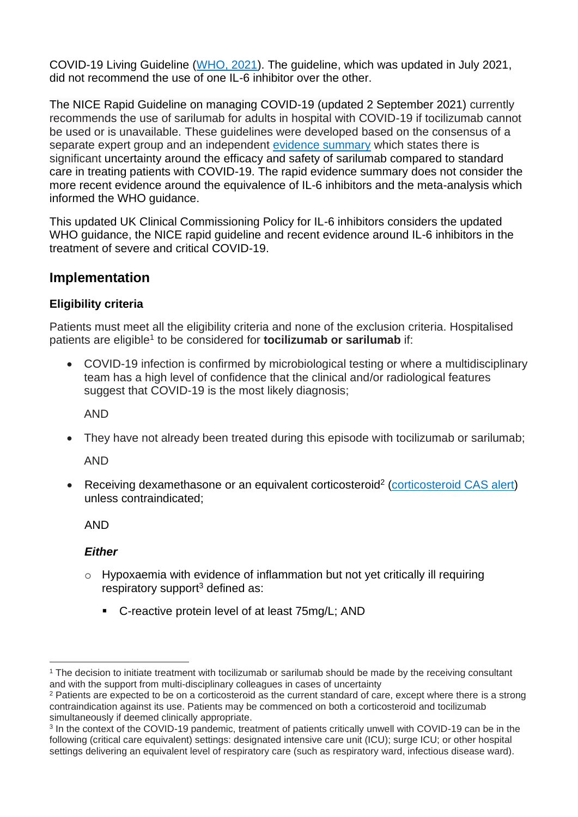COVID-19 Living Guideline [\(WHO, 2021\)](https://app.magicapp.org/#/guideline/nBkO1E/section/LrV7OL). The guideline, which was updated in July 2021, did not recommend the use of one IL-6 inhibitor over the other.

The NICE Rapid Guideline on managing COVID-19 (updated 2 September 2021) currently recommends the use of sarilumab for adults in hospital with COVID-19 if tocilizumab cannot be used or is unavailable. These guidelines were developed based on the consensus of a separate expert group and an independent [evidence summary](https://app.magicapp.org/#/guideline/L4Qb5n/section/jOk7xj) which states there is significant uncertainty around the efficacy and safety of sarilumab compared to standard care in treating patients with COVID-19. The rapid evidence summary does not consider the more recent evidence around the equivalence of IL-6 inhibitors and the meta-analysis which informed the WHO guidance.

This updated UK Clinical Commissioning Policy for IL-6 inhibitors considers the updated WHO guidance, the NICE rapid guideline and recent evidence around IL-6 inhibitors in the treatment of severe and critical COVID-19.

# **Implementation**

# **Eligibility criteria**

Patients must meet all the eligibility criteria and none of the exclusion criteria. Hospitalised patients are eligible<sup>1</sup> to be considered for **tocilizumab or sarilumab** if:

• COVID-19 infection is confirmed by microbiological testing or where a multidisciplinary team has a high level of confidence that the clinical and/or radiological features suggest that COVID-19 is the most likely diagnosis;

AND

• They have not already been treated during this episode with tocilizumab or sarilumab;

AND

• Receiving dexamethasone or an equivalent corticosteroid<sup>2</sup> [\(corticosteroid CAS alert\)](https://www.cas.mhra.gov.uk/ViewandAcknowledgment/ViewAlert.aspx?AlertID=103092) unless contraindicated;

AND

# *Either*

- o Hypoxaemia with evidence of inflammation but not yet critically ill requiring respiratory support<sup>3</sup> defined as:
	- C-reactive protein level of at least 75mg/L; AND

<sup>1</sup> The decision to initiate treatment with tocilizumab or sarilumab should be made by the receiving consultant and with the support from multi-disciplinary colleagues in cases of uncertainty

<sup>&</sup>lt;sup>2</sup> Patients are expected to be on a corticosteroid as the current standard of care, except where there is a strong contraindication against its use. Patients may be commenced on both a corticosteroid and tocilizumab simultaneously if deemed clinically appropriate.

<sup>&</sup>lt;sup>3</sup> In the context of the COVID-19 pandemic, treatment of patients critically unwell with COVID-19 can be in the following (critical care equivalent) settings: designated intensive care unit (ICU); surge ICU; or other hospital settings delivering an equivalent level of respiratory care (such as respiratory ward, infectious disease ward).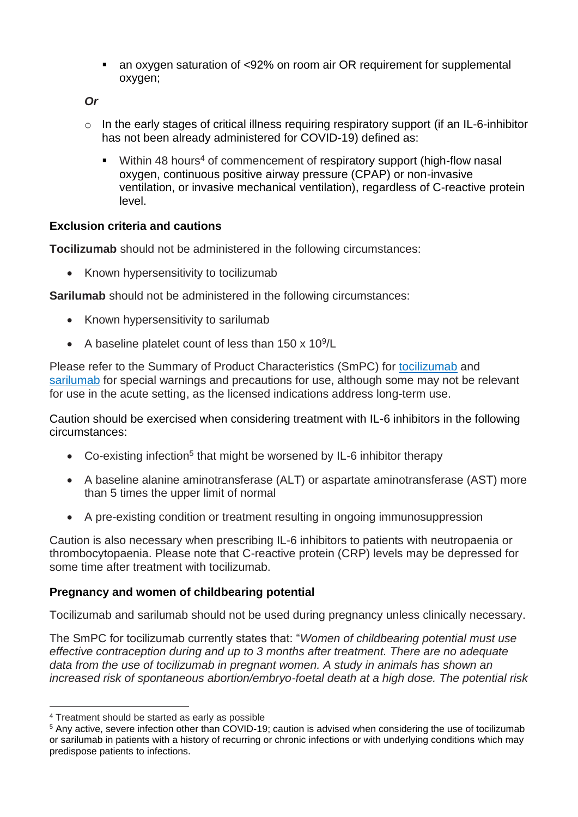■ an oxygen saturation of <92% on room air OR requirement for supplemental oxygen;

*Or*

- o In the early stages of critical illness requiring respiratory support (if an IL-6-inhibitor has not been already administered for COVID-19) defined as:
	- **■** Within 48 hours<sup>4</sup> of commencement of respiratory support (high-flow nasal oxygen, continuous positive airway pressure (CPAP) or non-invasive ventilation, or invasive mechanical ventilation), regardless of C-reactive protein level.

# **Exclusion criteria and cautions**

**Tocilizumab** should not be administered in the following circumstances:

• Known hypersensitivity to tocilizumab

**Sarilumab** should not be administered in the following circumstances:

- Known hypersensitivity to sarilumab
- A baseline platelet count of less than 150 x 10<sup>9</sup>/L

Please refer to the Summary of Product Characteristics (SmPC) for [tocilizumab](https://www.medicines.org.uk/emc/product/6673/smpc#gref) and [sarilumab](https://www.medicines.org.uk/emc/product/8145/smpc#gref) for special warnings and precautions for use, although some may not be relevant for use in the acute setting, as the licensed indications address long-term use.

Caution should be exercised when considering treatment with IL-6 inhibitors in the following circumstances:

- Co-existing infection<sup>5</sup> that might be worsened by IL-6 inhibitor therapy
- A baseline alanine aminotransferase (ALT) or aspartate aminotransferase (AST) more than 5 times the upper limit of normal
- A pre-existing condition or treatment resulting in ongoing immunosuppression

Caution is also necessary when prescribing IL-6 inhibitors to patients with neutropaenia or thrombocytopaenia. Please note that C-reactive protein (CRP) levels may be depressed for some time after treatment with tocilizumab.

# **Pregnancy and women of childbearing potential**

Tocilizumab and sarilumab should not be used during pregnancy unless clinically necessary.

The SmPC for tocilizumab currently states that: "*Women of childbearing potential must use effective contraception during and up to 3 months after treatment. There are no adequate data from the use of tocilizumab in pregnant women. A study in animals has shown an increased risk of spontaneous abortion/embryo-foetal death at a high dose. The potential risk* 

<sup>4</sup> Treatment should be started as early as possible

<sup>5</sup> Any active, severe infection other than COVID-19; caution is advised when considering the use of tocilizumab or sarilumab in patients with a history of recurring or chronic infections or with underlying conditions which may predispose patients to infections.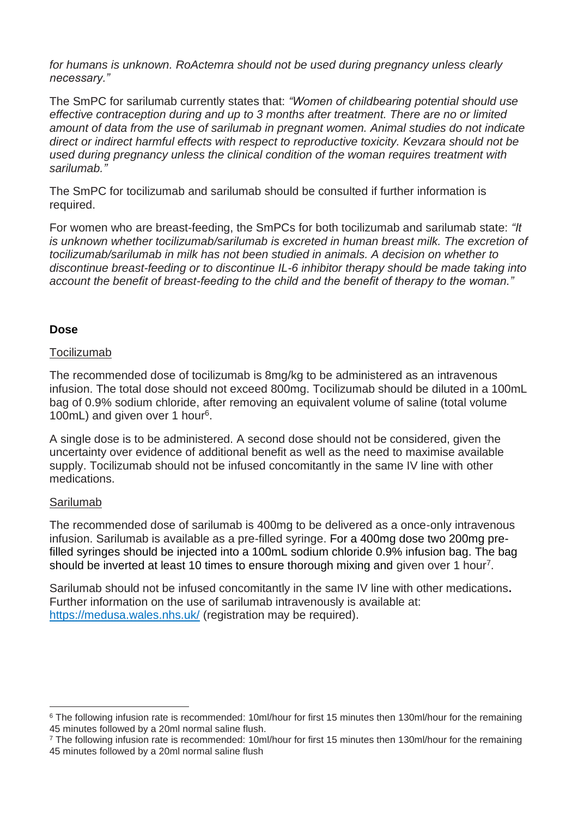for humans is unknown. RoActemra should not be used during pregnancy unless clearly *necessary."*

The SmPC for sarilumab currently states that: *"Women of childbearing potential should use effective contraception during and up to 3 months after treatment. There are no or limited amount of data from the use of sarilumab in pregnant women. Animal studies do not indicate direct or indirect harmful effects with respect to reproductive toxicity. Kevzara should not be used during pregnancy unless the clinical condition of the woman requires treatment with sarilumab."*

The SmPC for tocilizumab and sarilumab should be consulted if further information is required.

For women who are breast-feeding, the SmPCs for both tocilizumab and sarilumab state: *"It is unknown whether tocilizumab/sarilumab is excreted in human breast milk. The excretion of tocilizumab/sarilumab in milk has not been studied in animals. A decision on whether to discontinue breast-feeding or to discontinue IL-6 inhibitor therapy should be made taking into account the benefit of breast-feeding to the child and the benefit of therapy to the woman."*

## **Dose**

#### **Tocilizumab**

The recommended dose of tocilizumab is 8mg/kg to be administered as an intravenous infusion. The total dose should not exceed 800mg. Tocilizumab should be diluted in a 100mL bag of 0.9% sodium chloride, after removing an equivalent volume of saline (total volume 100mL) and given over 1 hour<sup>6</sup> .

A single dose is to be administered. A second dose should not be considered, given the uncertainty over evidence of additional benefit as well as the need to maximise available supply. Tocilizumab should not be infused concomitantly in the same IV line with other medications.

#### Sarilumab

The recommended dose of sarilumab is 400mg to be delivered as a once-only intravenous infusion. Sarilumab is available as a pre-filled syringe. For a 400mg dose two 200mg prefilled syringes should be injected into a 100mL sodium chloride 0.9% infusion bag. The bag should be inverted at least 10 times to ensure thorough mixing and given over 1 hour<sup>7</sup>.

Sarilumab should not be infused concomitantly in the same IV line with other medications**.** Further information on the use of sarilumab intravenously is available at: <https://medusa.wales.nhs.uk/> (registration may be required).

<sup>&</sup>lt;sup>6</sup> The following infusion rate is recommended: 10ml/hour for first 15 minutes then 130ml/hour for the remaining 45 minutes followed by a 20ml normal saline flush.

<sup>7</sup> The following infusion rate is recommended: 10ml/hour for first 15 minutes then 130ml/hour for the remaining 45 minutes followed by a 20ml normal saline flush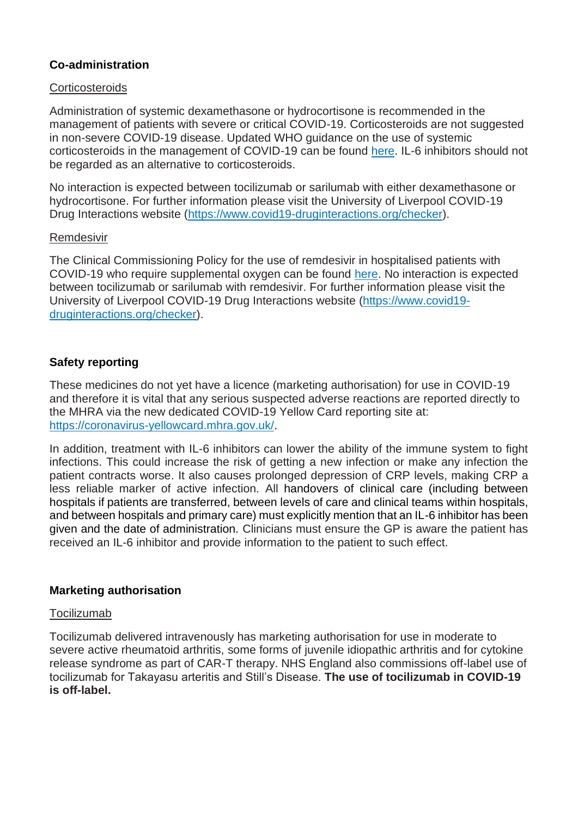# **Co-administration**

## **Corticosteroids**

Administration of systemic dexamethasone or hydrocortisone is recommended in the management of patients with severe or critical COVID-19. Corticosteroids are not suggested in non-severe COVID-19 disease. Updated WHO guidance on the use of systemic corticosteroids in the management of COVID-19 can be found [here.](https://www.who.int/publications/i/item/WHO-2019-nCoV-Corticosteroids-2020.1) IL-6 inhibitors should not be regarded as an alternative to corticosteroids.

No interaction is expected between tocilizumab or sarilumab with either dexamethasone or hydrocortisone. For further information please visit the University of Liverpool COVID-19 Drug Interactions website [\(https://www.covid19-druginteractions.org/checker\)](https://www.covid19-druginteractions.org/checker).

#### Remdesivir

The Clinical Commissioning Policy for the use of remdesivir in hospitalised patients with COVID-19 who require supplemental oxygen can be found [here.](https://www.england.nhs.uk/coronavirus/wp-content/uploads/sites/52/2020/07/C0860-clinical-commissioning-policy-remdesivir-for-people-hospitalised-with-covid-19-v2-.pdf) No interaction is expected between tocilizumab or sarilumab with remdesivir. For further information please visit the University of Liverpool COVID-19 Drug Interactions website [\(https://www.covid19](https://www.covid19-druginteractions.org/checker) [druginteractions.org/checker\)](https://www.covid19-druginteractions.org/checker).

# **Safety reporting**

These medicines do not yet have a licence (marketing authorisation) for use in COVID-19 and therefore it is vital that any serious suspected adverse reactions are reported directly to the MHRA via the new dedicated COVID-19 Yellow Card reporting site at: [https://coronavirus-yellowcard.mhra.gov.uk/.](https://coronavirus-yellowcard.mhra.gov.uk/)

In addition, treatment with IL-6 inhibitors can lower the ability of the immune system to fight infections. This could increase the risk of getting a new infection or make any infection the patient contracts worse. It also causes prolonged depression of CRP levels, making CRP a less reliable marker of active infection. All handovers of clinical care (including between hospitals if patients are transferred, between levels of care and clinical teams within hospitals, and between hospitals and primary care) must explicitly mention that an IL-6 inhibitor has been given and the date of administration. Clinicians must ensure the GP is aware the patient has received an IL-6 inhibitor and provide information to the patient to such effect.

## **Marketing authorisation**

## Tocilizumab

Tocilizumab delivered intravenously has marketing authorisation for use in moderate to severe active rheumatoid arthritis, some forms of juvenile idiopathic arthritis and for cytokine release syndrome as part of CAR-T therapy. NHS England also commissions off-label use of tocilizumab for Takayasu arteritis and Still's Disease. **The use of tocilizumab in COVID-19 is off-label.**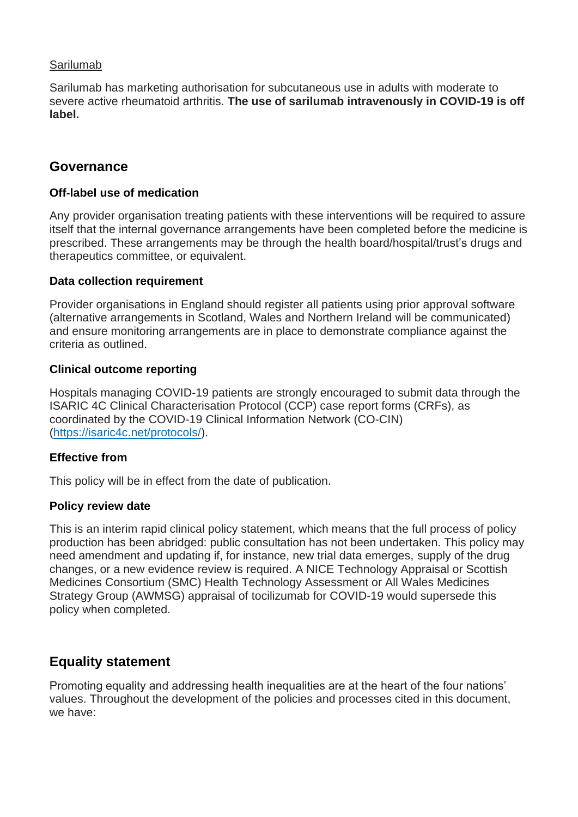# Sarilumab

Sarilumab has marketing authorisation for subcutaneous use in adults with moderate to severe active rheumatoid arthritis. **The use of sarilumab intravenously in COVID-19 is off label.**

# **Governance**

## **Off-label use of medication**

Any provider organisation treating patients with these interventions will be required to assure itself that the internal governance arrangements have been completed before the medicine is prescribed. These arrangements may be through the health board/hospital/trust's drugs and therapeutics committee, or equivalent.

## **Data collection requirement**

Provider organisations in England should register all patients using prior approval software (alternative arrangements in Scotland, Wales and Northern Ireland will be communicated) and ensure monitoring arrangements are in place to demonstrate compliance against the criteria as outlined.

## **Clinical outcome reporting**

Hospitals managing COVID-19 patients are strongly encouraged to submit data through the ISARIC 4C Clinical Characterisation Protocol (CCP) case report forms (CRFs), as coordinated by the COVID-19 Clinical Information Network (CO-CIN) [\(https://isaric4c.net/protocols/\)](https://isaric4c.net/protocols/).

## **Effective from**

This policy will be in effect from the date of publication.

## **Policy review date**

This is an interim rapid clinical policy statement, which means that the full process of policy production has been abridged: public consultation has not been undertaken. This policy may need amendment and updating if, for instance, new trial data emerges, supply of the drug changes, or a new evidence review is required. A NICE Technology Appraisal or Scottish Medicines Consortium (SMC) Health Technology Assessment or All Wales Medicines Strategy Group (AWMSG) appraisal of tocilizumab for COVID-19 would supersede this policy when completed.

# **Equality statement**

Promoting equality and addressing health inequalities are at the heart of the four nations' values. Throughout the development of the policies and processes cited in this document, we have: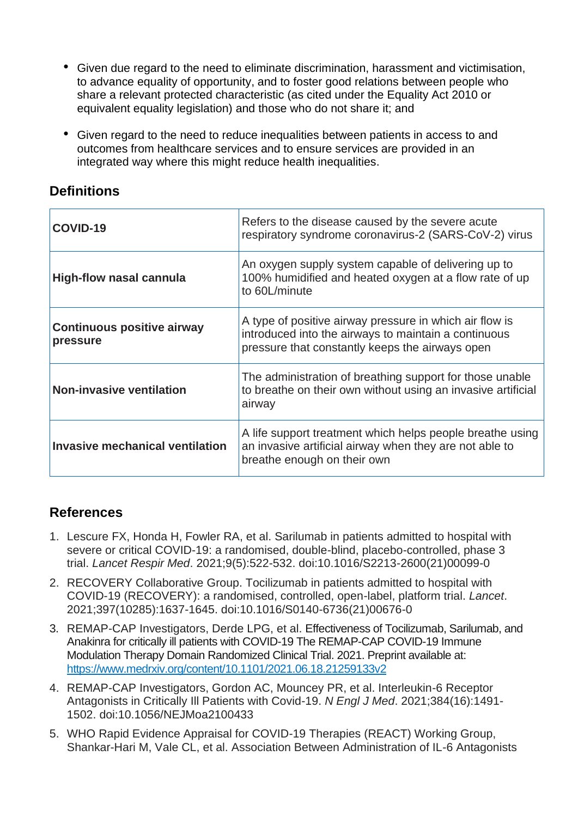- Given due regard to the need to eliminate discrimination, harassment and victimisation, to advance equality of opportunity, and to foster good relations between people who share a relevant protected characteristic (as cited under the Equality Act 2010 or equivalent equality legislation) and those who do not share it; and
- Given regard to the need to reduce inequalities between patients in access to and outcomes from healthcare services and to ensure services are provided in an integrated way where this might reduce health inequalities.

# **Definitions**

| COVID-19                                      | Refers to the disease caused by the severe acute<br>respiratory syndrome coronavirus-2 (SARS-CoV-2) virus                                                          |
|-----------------------------------------------|--------------------------------------------------------------------------------------------------------------------------------------------------------------------|
| <b>High-flow nasal cannula</b>                | An oxygen supply system capable of delivering up to<br>100% humidified and heated oxygen at a flow rate of up<br>to 60L/minute                                     |
| <b>Continuous positive airway</b><br>pressure | A type of positive airway pressure in which air flow is<br>introduced into the airways to maintain a continuous<br>pressure that constantly keeps the airways open |
| <b>Non-invasive ventilation</b>               | The administration of breathing support for those unable<br>to breathe on their own without using an invasive artificial<br>airway                                 |
| Invasive mechanical ventilation               | A life support treatment which helps people breathe using<br>an invasive artificial airway when they are not able to<br>breathe enough on their own                |

# **References**

- 1. Lescure FX, Honda H, Fowler RA, et al. Sarilumab in patients admitted to hospital with severe or critical COVID-19: a randomised, double-blind, placebo-controlled, phase 3 trial. *Lancet Respir Med*. 2021;9(5):522-532. doi:10.1016/S2213-2600(21)00099-0
- 2. RECOVERY Collaborative Group. Tocilizumab in patients admitted to hospital with COVID-19 (RECOVERY): a randomised, controlled, open-label, platform trial. *Lancet*. 2021;397(10285):1637-1645. doi:10.1016/S0140-6736(21)00676-0
- 3. REMAP-CAP Investigators, Derde LPG, et al. Effectiveness of Tocilizumab, Sarilumab, and Anakinra for critically ill patients with COVID-19 The REMAP-CAP COVID-19 Immune Modulation Therapy Domain Randomized Clinical Trial. 2021. Preprint available at: <https://www.medrxiv.org/content/10.1101/2021.06.18.21259133v2>
- 4. REMAP-CAP Investigators, Gordon AC, Mouncey PR, et al. Interleukin-6 Receptor Antagonists in Critically Ill Patients with Covid-19. *N Engl J Med*. 2021;384(16):1491- 1502. doi:10.1056/NEJMoa2100433
- 5. WHO Rapid Evidence Appraisal for COVID-19 Therapies (REACT) Working Group, Shankar-Hari M, Vale CL, et al. Association Between Administration of IL-6 Antagonists